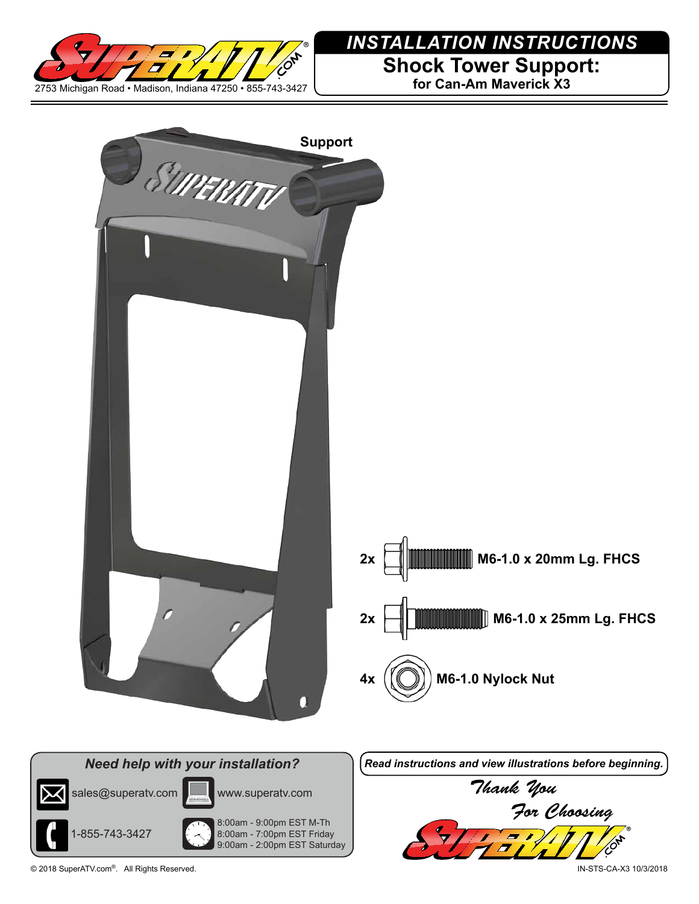

## *INSTALLATION INSTRUCTIONS*

**Shock Tower Support:**

**for Can-Am Maverick X3**



© 2018 SuperATV.com®. All Rights Reserved. IN-STS-CA-X3 10/3/2018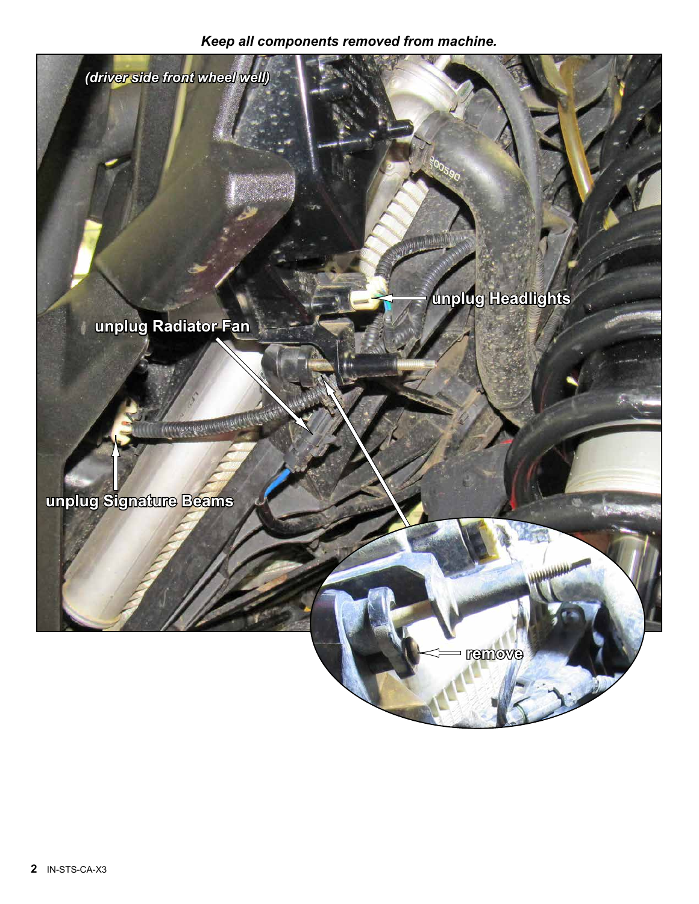## *Keep all components removed from machine.*

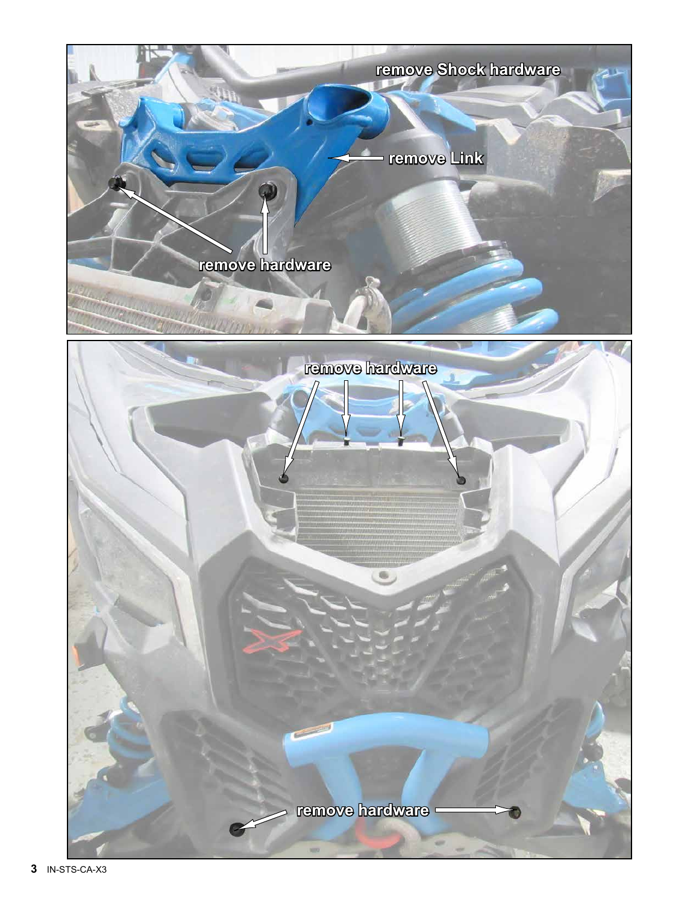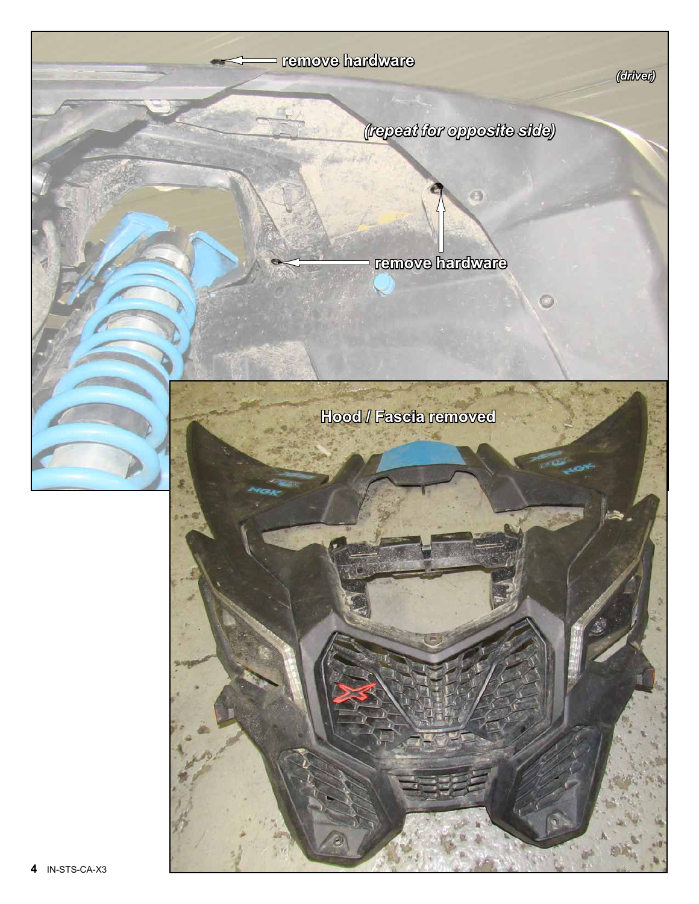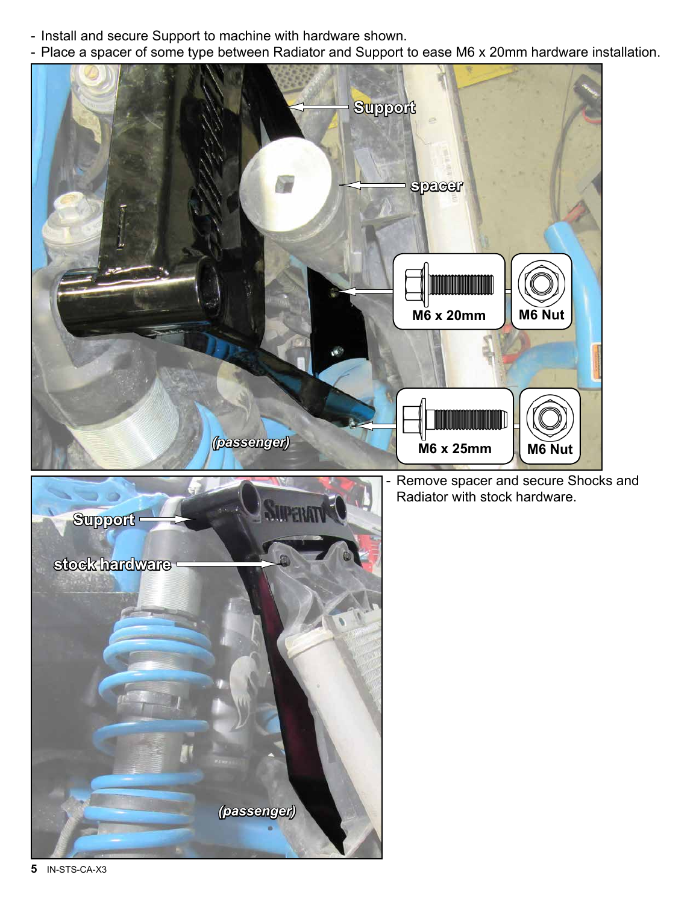- Install and secure Support to machine with hardware shown.
- Place a spacer of some type between Radiator and Support to ease M6 x 20mm hardware installation.